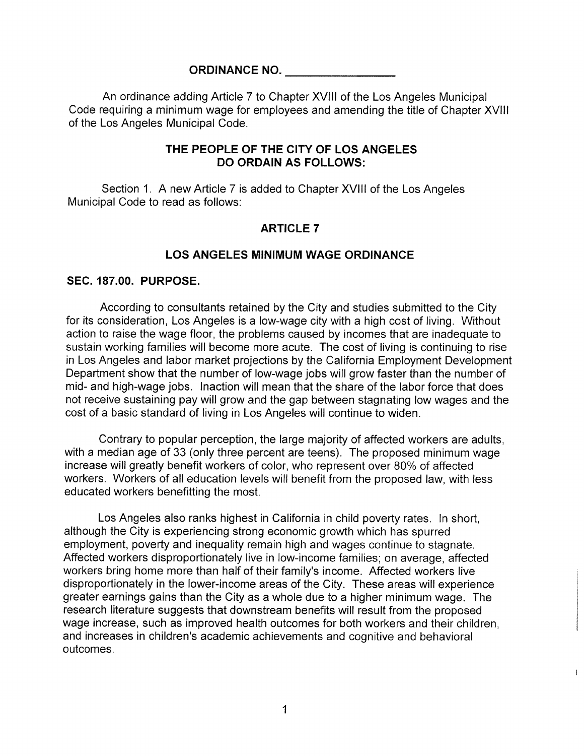### ORDINANCE NO.

An ordinance adding Article 7 to Chapter XVIII of the Los Angeles Municipal Code requiring a minimum wage for employees and amending the title of Chapter XVIII of the Los Angeles Municipal Code.

### THE PEOPLE OF THE CITY OF LOS ANGELES DO ORDAIN AS FOLLOWS:

Section 1. A new Article 7 is added to Chapter XVIII of the Los Angeles Municipal Code to read as follows:

# ARTICLE 7

#### LOS ANGELES MINIMUM WAGE ORDINANCE

#### SEC. 187.00. PURPOSE.

According to consultants retained by the City and studies submitted to the City for its consideration, Los Angeles is a low-wage city with a high cost of living. Without action to raise the wage floor, the problems caused by incomes that are inadequate to sustain working families will become more acute. The cost of living is continuing to rise in Los Angeles and labor market projections by the California Employment Development Department show that the number of low-wage jobs will grow faster than the number of mid- and high-wage jobs. Inaction will mean that the share of the labor force that does not receive sustaining pay will grow and the gap between stagnating low wages and the cost of a basic standard of living in Los Angeles will continue to widen.

Contrary to popular perception, the large majority of affected workers are adults, with a median age of 33 (only three percent are teens). The proposed minimum wage increase will greatly benefit workers of color, who represent over 80% of affected workers. Workers of all education levels will benefit from the proposed law, with less educated workers benefitting the most.

Los Angeles also ranks highest in California in child poverty rates. In short, although the City is experiencing strong economic growth which has spurred employment, poverty and inequality remain high and wages continue to stagnate. Affected workers disproportionately live in low-income families; on average, affected workers bring home more than half of their family's income. Affected workers live disproportionately in the lower-income areas of the City. These areas will experience greater earnings gains than the City as a whole due to a higher minimum wage. The research literature suggests that downstream benefits will result from the proposed wage increase, such as improved health outcomes for both workers and their children, and increases in children's academic achievements and cognitive and behavioral outcomes.

 $\mathbf{I}$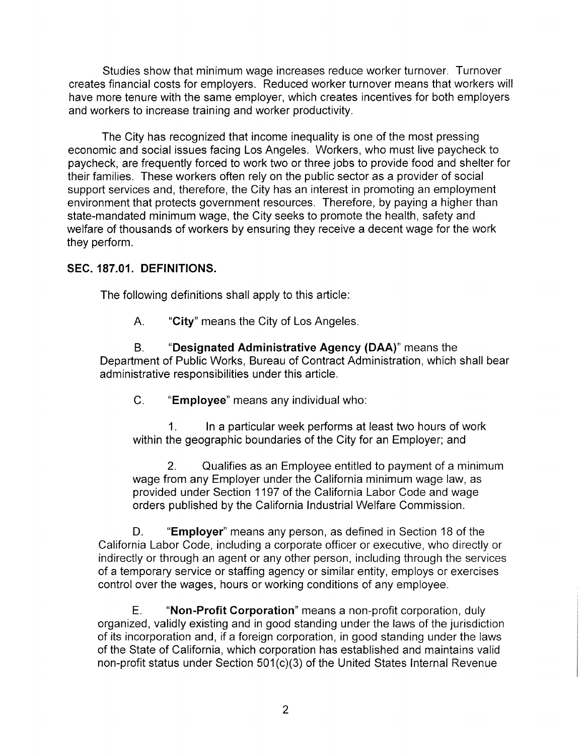Studies show that minimum wage increases reduce worker turnover. Turnover creates financial costs for employers. Reduced worker turnover means that workers will have more tenure with the same employer, which creates incentives for both employers and workers to increase training and worker productivity.

The City has recognized that income inequality is one of the most pressing economic and social issues facing Los Angeles. Workers, who must live paycheck to paycheck, are frequently forced to work two or three jobs to provide food and shelter for their families. These workers often rely on the public sector as a provider of social support services and, therefore, the City has an interest in promoting an employment environment that protects government resources. Therefore, by paying a higher than state-mandated minimum wage, the City seeks to promote the health, safety and welfare of thousands of workers by ensuring they receive a decent wage for the work they perform.

# SEC. 187.01. DEFINITIONS.

The following definitions shall apply to this article:

A. "City" means the City of Los Angeles.

B. "Designated Administrative Agency (DAA)" means the Department of Public Works, Bureau of Contract Administration, which shall bear administrative responsibilities under this article.

C. "Employee" means any individual who:

1. In a particular week performs at least two hours of work within the geographic boundaries of the City for an Employer; and

2. Qualifies as an Employee entitled to payment of a minimum wage from any Employer under the California minimum wage law, as provided under Section 1197 of the California Labor Code and wage orders published by the California Industrial Welfare Commission.

D. "Employer" means any person, as defined in Section 18 of the California Labor Code, including a corporate officer or executive, wha directly or indirectly or through an agent or any other person, including through the services of a temporary service or staffing agency or similar entity, employs or exercises control over the wages, hours or working conditions of any employee.

E. "Non-Profit Corporation" means anon-profit corporation, duly organized, validly existing and in good standing under the laws of the jurisdiction of its incorporation and, if a foreign corporation, in good standing under the laws of the State of California, which corporation has established and maintains valid non-profit status under Section 5Q1(c)(3) of the United States Internal Revenue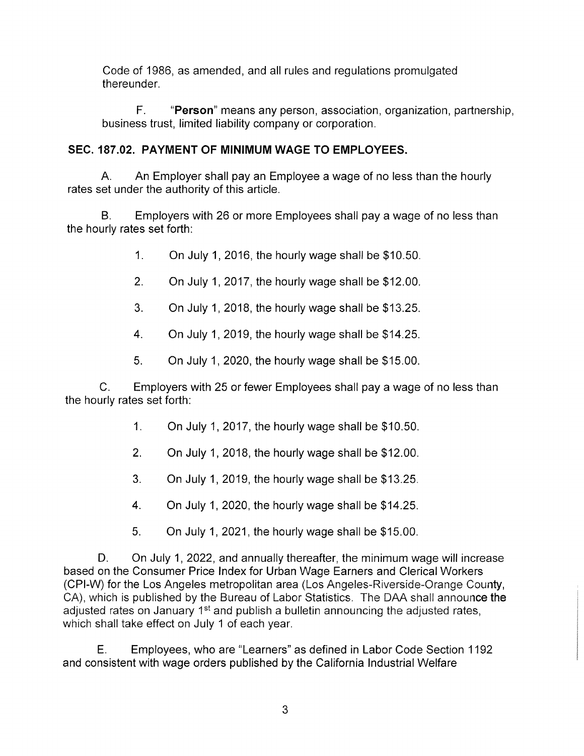Code of 1986, as amended, and all rules and regulations promulgated thereunder.

F. "Person" means any person, association, organization, partnership, business trust, limited liability company or corporation.

# SEC. 187.02. PAYMENT OF MINIMUM WAGE TO EMPLOYEES.

A. An Employer shall pay an Employee a wage of no less than the hourly rates set under the authority of this article.

B. Employers with 26 or more Employees shall pay a wage of no less than the hourly rates set forth:

- 1. On July 1, 2016, the hourly wage shall be \$10.50.
- 2. On July 1, 2017, the hourly wage shall be \$12.00.
- 3. On July 1, 2018, the hourly wage shall be \$13.25.
- 4. On July 1, 2019, the hourly wage shall be \$14.25.
- 5. On July 1, 2020, the hourly wage shall be \$15.00.

C. Employers with 25 or fewer Employees shall pay a wage of no less than the hourly rates set forth:

- 1. On July 1, 2017, the hourly wage shall be \$10.50.
- 2. On July 1, 2018, the hourly wage shall be \$12.00.
- 3. On July 1, 2019, the hourly wage shall be \$13.25.
- 4. On July 1, 2020, the hourly wage shall be \$14.25.
- 5. On July 1, 2021, the hourly wage shall be \$15.00.

D. On July 1, 2022, and annually thereafter, the minimum wage will increase based on the Consumer Price Index for Urban Wage Earners and Clerical Workers (CPI-W) for the Los Angeles metropolitan area (Los Angeles-Riverside-Orange County, CA), which is published by the Bureau of Labor Statistics. The DAA shall announce the adjusted rates on January 1<sup>st</sup> and publish a bulletin announcing the adjusted rates, which shall take effect on July 1 of each year.

E. Employees, who are "Learners" as defined in Labor Code Section 1192 and consistent with wage orders published by the California Industrial Welfare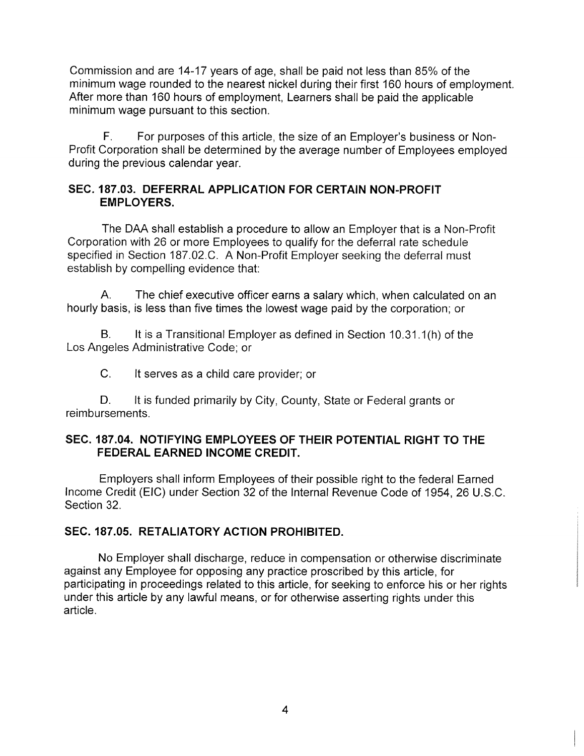Commission and are 14-17 years of age, shall be paid not less than 85% of the minimum wage rounded to the nearest nickel during their first 160 hours of employment. After more than 160 hours of employment, Learners shall be paid the applicable minimum wage pursuant to this section.

F. For purposes of this article, the size of an Employer's business or Non-Profit Corporation shall be determined by the average number of Employees employed during the previous calendar year.

# SEC. 187.03. DEFERRAL APPLICATION FOR CERTAIN NON-PROFIT EMPLOYERS.

The DAA shall establish a procedure to allow an Employer that is a Non-Profit Corporation with 26 or more Employees to qualify for the deferral rate schedule specified in Section 187.02.C. A Non-Profit Employer seeking the deferral must establish by compelling evidence that:

A. The chief executive officer earns a salary which, when calculated on an hourly basis, is less than five times the lowest wage paid by the corporation; or

B. It is a Transitional Employer as defined in Section 10.31.1(h) of the Los Angeles Administrative Code; or

C. It serves as a child care provider; or

D. It is funded primarily by City, County, State or Federal grants or reimbursements.

# SEC. 187.04. NOTIFYING EMPLOYEES OF THEIR POTENTIAL RIGHT TO THE FEDERAL EARNED INCOME CREDIT.

Employers shall inform Employees of their possible right to the federal Earned Income Credit (EIC) under Section 32 of the Internal Revenue Code of 1954, 26 U.S.C. Section 32.

# SEC. 187.05. RETALIATORY ACTION PROHIBITED.

No Employer shall discharge, reduce in compensation or otherwise discriminate against any Employee for opposing any practice proscribed by this article, for participating in proceedings related to this article, for seeking to enforce his or her rights under this article by any lawful means, or for otherwise asserting rights under this article.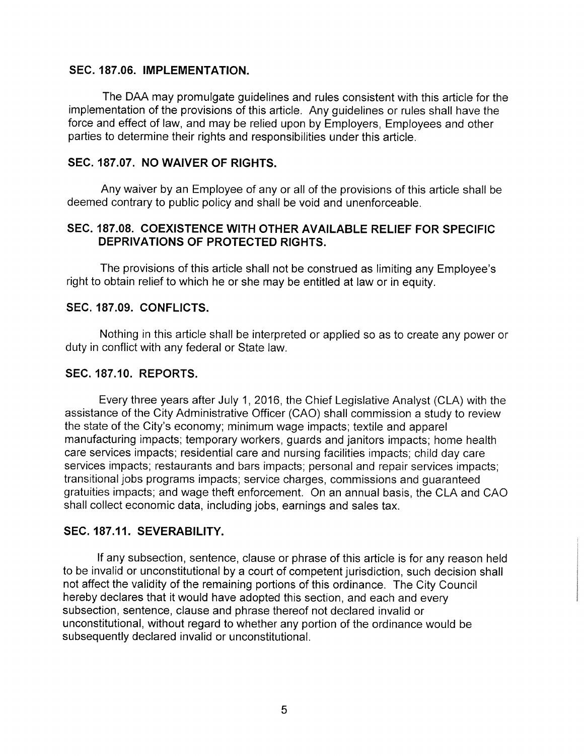#### SEC. 187.06. IMPLEMENTATION.

The DAA may promulgate guidelines and rules consistent with this article for the implementation of the provisions of this article. Any guidelines or rules shall have the force and effect of law, and may be relied upon by Employers, Employees and other parties to determine their rights and responsibilities under this article.

#### SEC. 187.07. NO WAIVER OF RIGHTS.

Any waiver by an Employee of any or all of the provisions of this article shall be deemed contrary to public policy and shall be void and unenforceable.

# SEC. 187.08. COEXISTENCE WITH OTHER AVAILABLE RELIEF FOR SPECIFIC DEPRIVATIONS OF PROTECTED RIGHTS.

The provisions of this article shall not be construed as limiting any Employee's right to obtain relief to which he or she may be entitled at law or in equity.

### SEC. 187.09. CONFLICTS.

Nothing in this article shall be interpreted or applied so as to create any power or duty in conflict with any federal or State law.

## SEC. 187.10. REPORTS.

Every three years after July 1, 2016, the Chief Legislative Analyst (CLA) with the assistance of the City Administrative Officer (CAO) shall commission a study to review the state of the City's economy; minimum wage impacts; textile and apparel manufacturing impacts; temporary workers, guards and janitors impacts; home health care services impacts; residential care and nursing facilities impacts; child day care services impacts; restaurants and bars impacts; personal and repair services impacts; transitional jobs programs impacts; service charges, commissions and guaranteed gratuities impacts; and wage theft enforcement. On an annual basis, the CLA and CAO shall collect economic data, including jobs, earnings and sales tax.

# SEC. 187.11. SEVERABILITY.

If any subsection, sentence, clause or phrase of this article is for any reason held to be invalid or unconstitutional by a court of competent jurisdiction, such decision shall not affect the validity of the remaining portions of this ordinance. The City Council hereby declares that it would have adopted this section, and each and every subsection, sentence, clause and phrase thereof not declared invalid or unconstitutional, without regard to whether any portion of the ordinance would be subsequently declared invalid or unconstitutional.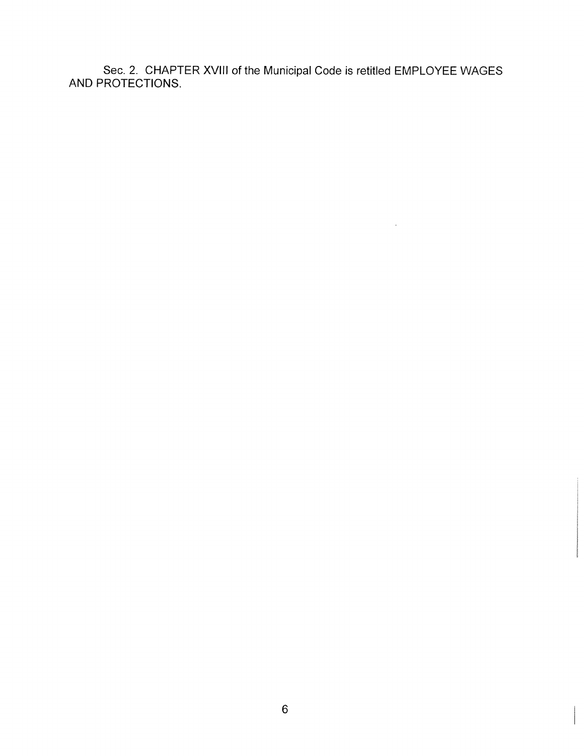Sec. 2. CHAPTER XVIII of the Municipal Code is retitled EMPLOYEE WAGES AND PROTECTIONS.